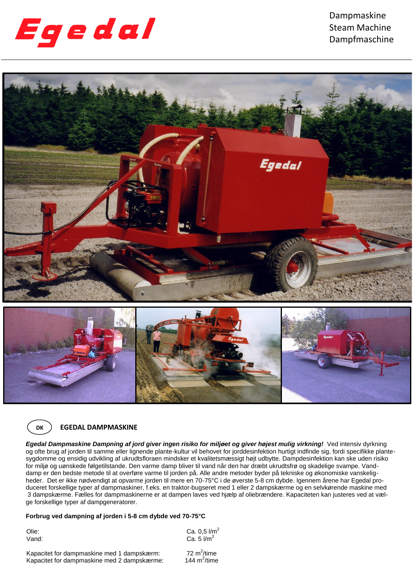

Dampmaskine Steam Machine Dampfmaschine





## **EGEDAL DAMPMASKINE**

*Egedal Dampmaskine Dampning af jord giver ingen risiko for miljøet og giver højest mulig virkning!* Ved intensiv dyrkning og ofte brug af jorden til samme eller lignende plante-kultur vil behovet for jorddesinfektion hurtigt indfinde sig, fordi specifikke plantesygdomme og ensidig udvikling af ukrudtsfloraen mindsker et kvalitetsmæssigt højt udbytte. Dampdesinfektion kan ske uden risiko for miljø og uønskede følgetilstande. Den varme damp bliver til vand når den har dræbt ukrudtsfrø og skadelige svampe. Vanddamp er den bedste metode til at overføre varme til jorden på. Alle andre metoder byder på tekniske og økonomiske vanskeligheder. Det er ikke nødvendigt at opvarme jorden til mere en 70-75°C i de øverste 5-8 cm dybde. Igennem årene har Egedal produceret forskellige typer af dampmaskiner, f.eks. en traktor-bugseret med 1 eller 2 dampskærme og en selvkørende maskine med 3 dampskærme. Fælles for dampmaskinerne er at dampen laves ved hjælp af oliebrændere. Kapaciteten kan justeres ved at vælge forskellige typer af dampgeneratorer.

# **Forbrug ved dampning af jorden i 5-8 cm dybde ved 70-75°C**

Kapacitet for dampmaskine med 1 dampskærm:

Olie: Ca.  $0.5$   $1/m^2$ Vand:  $Ca. 5 \text{ } l/m^2$ 

72 $m^2$ /time

144 $m^2$ /time

Kapacitet for dampmaskine med 2 dampskærme: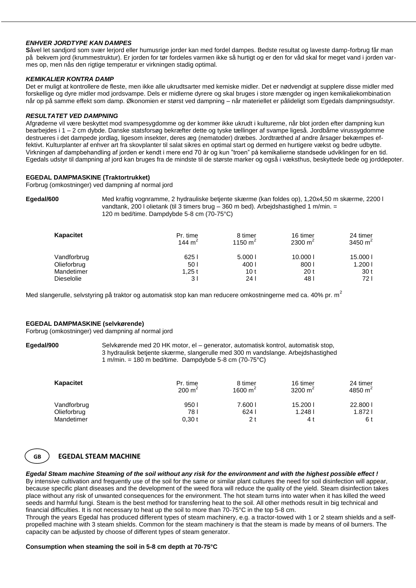## *ENHVER JORDTYPE KAN DAMPES*

**S**åvel let sandjord som svær lerjord eller humusrige jorder kan med fordel dampes. Bedste resultat og laveste damp-forbrug får man på bekvem jord (krummestruktur). Er jorden for tør fordeles varmen ikke så hurtigt og er den for våd skal for meget vand i jorden varmes op, men nås den rigtige temperatur er virkningen stadig optimal.

## *KEMIKALIER KONTRA DAMP*

Det er muligt at kontrollere de fleste, men ikke alle ukrudtsarter med kemiske midler. Det er nødvendigt at supplere disse midler med forskellige og dyre midler mod jordsvampe. Dels er midlerne dyrere og skal bruges i store mængder og ingen kemikaliekombination når op på samme effekt som damp. Økonomien er størst ved dampning – når materiellet er pålideligt som Egedals dampningsudstyr.

## *RESULTATET VED DAMPNING*

Afgrøderne vil være beskyttet mod svampesygdomme og der kommer ikke ukrudt i kulturerne, når blot jorden efter dampning kun bearbejdes i 1 – 2 cm dybde. Danske statsforsøg bekræfter dette og tyske tællinger af svampe ligeså. Jordbårne virussygdomme destrueres i det dampede jordlag, ligesom insekter, deres æg (nematoder) dræbes. Jordtræthed af andre årsager bekæmpes effektivt. Kulturplanter af enhver art fra skovplanter til salat sikres en optimal start og dermed en hurtigere vækst og bedre udbytte. Virkningen af dampbehandling af jorden er kendt i mere end 70 år og kun "troen" på kemikalierne standsede udviklingen for en tid. Egedals udstyr til dampning af jord kan bruges fra de mindste til de største marker og også i væksthus, beskyttede bede og jorddepoter.

## **EGEDAL DAMPMASKINE (Traktortrukket)**

Forbrug (omkostninger) ved dampning af normal jord

**Egedal/600** Med kraftig vognramme, 2 hydrauliske betjente skærme (kan foldes op), 1,20x4,50 m skærme, 2200 l vandtank, 200 l olietank (til 3 timers brug - 360 m bed). Arbejdshastighed 1 m/min. = 120 m bed/time. Dampdybde 5-8 cm (70-75°C)

| Kapacitet         | Pr. time<br>144 $m2$ | 8 timer<br>1150 $m2$ | 16 timer<br>2300 m <sup>2</sup> | 24 timer<br>3450 $m2$ |
|-------------------|----------------------|----------------------|---------------------------------|-----------------------|
| Vandforbrug       | 6251                 | 5.0001               | 10.000                          | 15,000                |
| Olieforbrug       | 50 I                 | 400 l                | 8001                            | 1.2001                |
| Mandetimer        | 1.25t                | 10 <sub>t</sub>      | 20 <sub>t</sub>                 | 30 <sub>t</sub>       |
| <b>Dieselolie</b> | 3 I                  | 24 I                 | 48 I                            | 72 I                  |

Med slangerulle, selvstyring på traktor og automatisk stop kan man reducere omkostningerne med ca. 40% pr. m<sup>2</sup>

## **EGEDAL DAMPMASKINE (selvkørende)**

Forbrug (omkostninger) ved dampning af normal jord

#### **Egedal/900** Selvkørende med 20 HK motor, el – generator, automatisk kontrol, automatisk stop, 3 hydraulisk betjente skærme, slangerulle med 300 m vandslange. Arbejdshastighed 1 m/min. = 180 m bed/time. Dampdybde 5-8 cm  $(70-75^{\circ}C)$

| Kapacitet   | Pr. time<br>$200 \text{ m}^2$ | 8 timer<br>1600 $m2$ | 16 timer<br>3200 $m2$ | 24 timer<br>4850 $m^2$ |
|-------------|-------------------------------|----------------------|-----------------------|------------------------|
| Vandforbrug | 9501                          | 7.600 l              | 15.2001               | 22,800                 |
| Olieforbrug | 78 I                          | 624                  | 1.248                 | 1.8721                 |
| Mandetimer  | $0,30$ t                      | 2 t                  | 4 t                   | 6 t                    |



## **EGEDAL STEAM MACHINE**

*Egedal Steam machine Steaming of the soil without any risk for the environment and with the highest possible effect !*

By intensive cultivation and frequently use of the soil for the same or similar plant cultures the need for soil disinfection will appear, because specific plant diseases and the development of the weed flora will reduce the quality of the yield. Steam disinfection takes place without any risk of unwanted consequences for the environment. The hot steam turns into water when it has killed the weed seeds and harmful fungi. Steam is the best method for transferring heat to the soil. All other methods result in big technical and financial difficulties. It is not necessary to heat up the soil to more than 70-75°C in the top 5-8 cm.

Through the years Egedal has produced different types of steam machinery, e.g. a tractor-towed with 1 or 2 steam shields and a selfpropelled machine with 3 steam shields. Common for the steam machinery is that the steam is made by means of oil burners. The capacity can be adjusted by choose of different types of steam generator.

## **Consumption when steaming the soil in 5-8 cm depth at 70-75°C**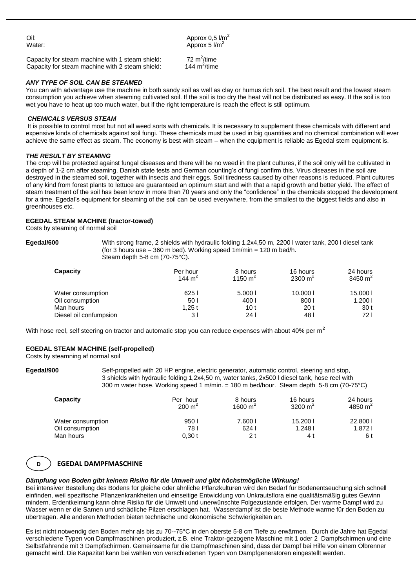Oil:  $\mu$  Approx 0,5  $\mu$ m<sup>2</sup> Water:  $\blacksquare$  Approx 5  $\mathsf{I/m}^2$ 

72 $m^2$ /time

144  $m^2$ /time

Capacity for steam machine with 1 steam shield: Capacity for steam machine with 2 steam shield:

## *ANY TYPE OF SOIL CAN BE STEAMED*

You can with advantage use the machine in both sandy soil as well as clay or humus rich soil. The best result and the lowest steam consumption you achieve when steaming cultivated soil. If the soil is too dry the heat will not be distributed as easy. If the soil is too wet you have to heat up too much water, but if the right temperature is reach the effect is still optimum.

## *CHEMICALS VERSUS STEAM*

It is possible to control most but not all weed sorts with chemicals. It is necessary to supplement these chemicals with different and expensive kinds of chemicals against soil fungi. These chemicals must be used in big quantities and no chemical combination will ever achieve the same effect as steam. The economy is best with steam – when the equipment is reliable as Egedal stem equipment is.

## *THE RESULT BY STEAMING*

The crop will be protected against fungal diseases and there will be no weed in the plant cultures, if the soil only will be cultivated in a depth of 1-2 cm after steaming. Danish state tests and German counting's of fungi confirm this. Virus diseases in the soil are destroyed in the steamed soil, together with insects and their eggs. Soil tiredness caused by other reasons is reduced. Plant cultures of any kind from forest plants to lettuce are guaranteed an optimum start and with that a rapid growth and better yield. The effect of steam treatment of the soil has been know in more than 70 years and only the "confidence" in the chemicals stopped the development for a time. Egedal's equipment for steaming of the soil can be used everywhere, from the smallest to the biggest fields and also in greenhouses etc.

## **EGEDAL STEAM MACHINE (tractor-towed)**

Costs by steaming of normal soil

**Egedal/600** With strong frame, 2 shields with hydraulic folding 1,2x4,50 m, 2200 l water tank, 200 l diesel tank (for 3 hours use  $-360$  m bed). Working speed  $1m/min = 120$  m bed/h. Steam depth 5-8 cm (70-75°C).

| Capacity               | Per hour<br>144 $m2$ | 8 hours<br>1150 $m2$ | 16 hours<br>2300 $m2$ | 24 hours<br>3450 $m2$ |
|------------------------|----------------------|----------------------|-----------------------|-----------------------|
| Water consumption      | 625                  | 5.0001               | 10.000                | 15,000                |
| Oil consumption        | 50 l                 | 400 l                | 8001                  | 1.200                 |
| Man hours              | 1.25 t               | 10 t                 | 20 <sub>t</sub>       | 30 t                  |
| Diesel oil confumpsion | 3 I                  | 24 I                 | 48 I                  | 72 I                  |

With hose reel, self steering on tractor and automatic stop you can reduce expenses with about 40% per m<sup>2</sup>

## **EGEDAL STEAM MACHINE (self-propelled)**

Costs by steamning af normal soil

**Egedal/900** Self-propelled with 20 HP engine, electric generator, automatic control, steering and stop, 3 shields with hydraulic folding 1,2x4,50 m, water tanks, 2x500 l diesel tank, hose reel with 300 m water hose. Working speed 1 m/min. = 180 m bed/hour. Steam depth 5-8 cm (70-75°C)

| Capacity          | Per hour<br>$200 \text{ m}^2$ | 8 hours<br>1600 $m^2$ | 16 hours<br>3200 $m2$ | 24 hours<br>4850 $m2$ |
|-------------------|-------------------------------|-----------------------|-----------------------|-----------------------|
| Water consumption | 950                           | 7.600                 | 15.2001               | 22,800                |
| Oil consumption   | 78 I                          | 6241                  | 1.2481                | 1.8721                |
| Man hours         | 0.30t                         | 2 t                   | 4 t                   | 6 t                   |

#### **D EGEDAL DAMPFMASCHINE**

#### **DK** *Dämpfung von Boden gibt keinem Risiko für die Umwelt und gibt höchstmögliche Wirkung!*

Bei intensiver Bestellung des Bodens für gleiche oder ähnliche Pflanzkulturen wird den Bedarf für Bodenentseuchung sich schnell einfinden, weil spezifische Pflanzenkrankheiten und einseitige Entwicklung von Unkrautsflora eine qualitätsmäßig gutes Gewinn mindern. Erdentkeimung kann ohne Risiko für die Umwelt und unerwünschte Folgezustande erfolgen. Der warme Dampf wird zu Wasser wenn er die Samen und schädliche Pilzen erschlagen hat. Wasserdampf ist die beste Methode warme für den Boden zu übertragen. Alle anderen Methoden bieten technische und ökonomische Schwierigkeiten an.

Es ist nicht notwendig den Boden mehr als bis zu 70--75°C in den oberste 5-8 cm Tiefe zu erwärmen. Durch die Jahre hat Egedal verschiedene Typen von Dampfmaschinen produziert, z.B. eine Traktor-gezogene Maschine mit 1 oder 2 Dampfschirmen und eine Selbstfahrende mit 3 Dampfschirmen. Gemeinsame für die Dampfmaschinen sind, dass der Dampf bei Hilfe von einem Ölbrenner gemacht wird. Die Kapazität kann bei wählen von verschiedenen Typen von Dampfgeneratoren eingestellt werden.